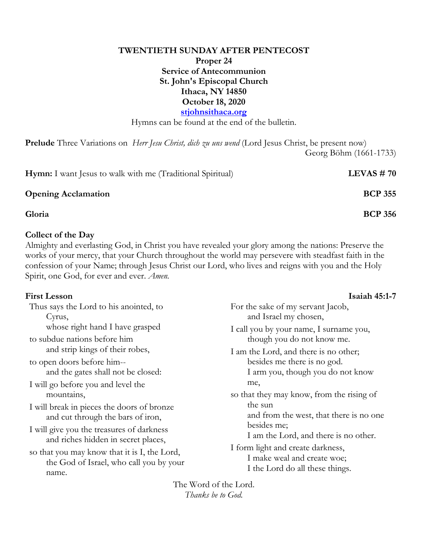### **TWENTIETH SUNDAY AFTER PENTECOST Proper 24 Service of Antecommunion St. John's Episcopal Church Ithaca, NY 14850 October 18, 2020 stjohnsithaca.org**

Hymns can be found at the end of the bulletin.

**Prelude** Three Variations on *Herr Jesu Christ, dich zu uns wend* (Lord Jesus Christ, be present now) Georg Böhm (1661-1733)

| <b>Hymn:</b> I want Jesus to walk with me (Traditional Spiritual) | LEVAS $#70$    |
|-------------------------------------------------------------------|----------------|
| <b>Opening Acclamation</b>                                        | <b>BCP 355</b> |
| Gloria                                                            | <b>BCP 356</b> |

### **Collect of the Day**

Almighty and everlasting God, in Christ you have revealed your glory among the nations: Preserve the works of your mercy, that your Church throughout the world may persevere with steadfast faith in the confession of your Name; through Jesus Christ our Lord, who lives and reigns with you and the Holy Spirit, one God, for ever and ever. *Amen.*

## **First Lesson Isaiah 45:1-7**

| Thus says the Lord to his anointed, to       | For the sake of my servant Jacob,         |
|----------------------------------------------|-------------------------------------------|
| Cyrus,                                       | and Israel my chosen,                     |
| whose right hand I have grasped              | I call you by your name, I surname you,   |
| to subdue nations before him                 | though you do not know me.                |
| and strip kings of their robes,              | I am the Lord, and there is no other;     |
| to open doors before him--                   | besides me there is no god.               |
| and the gates shall not be closed:           | I arm you, though you do not know         |
| I will go before you and level the           | me,                                       |
| mountains,                                   | so that they may know, from the rising of |
| I will break in pieces the doors of bronze   | the sun                                   |
| and cut through the bars of iron,            | and from the west, that there is no one   |
| I will give you the treasures of darkness    | besides me;                               |
| and riches hidden in secret places,          | I am the Lord, and there is no other.     |
| so that you may know that it is I, the Lord, | I form light and create darkness,         |
| the God of Israel, who call you by your      | I make weal and create woe;               |
| name.                                        | I the Lord do all these things.           |

The Word of the Lord. *Thanks be to God.*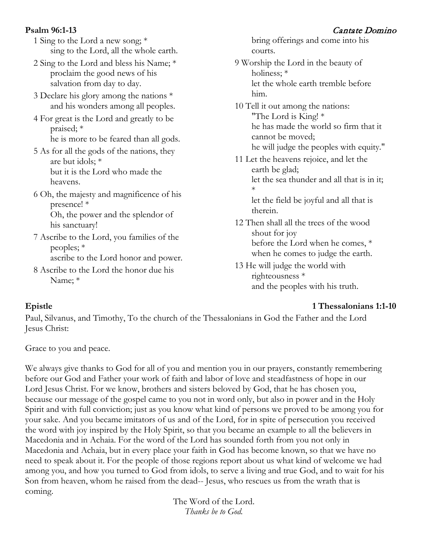- 1 Sing to the Lord a new song; \* sing to the Lord, all the whole earth.
- 2 Sing to the Lord and bless his Name; \* proclaim the good news of his salvation from day to day.
- 3 Declare his glory among the nations \* and his wonders among all peoples.
- 4 For great is the Lord and greatly to be praised; \* he is more to be feared than all gods.
- 5 As for all the gods of the nations, they are but idols; \* but it is the Lord who made the heavens.
- 6 Oh, the majesty and magnificence of his presence! \* Oh, the power and the splendor of his sanctuary!
- 7 Ascribe to the Lord, you families of the peoples; \* ascribe to the Lord honor and power.
- 8 Ascribe to the Lord the honor due his Name; \*

bring offerings and come into his courts.

- 9 Worship the Lord in the beauty of holiness; \* let the whole earth tremble before him.
- 10 Tell it out among the nations: "The Lord is King! \* he has made the world so firm that it cannot be moved; he will judge the peoples with equity."
- 11 Let the heavens rejoice, and let the earth be glad; let the sea thunder and all that is in it; \*

let the field be joyful and all that is therein.

- 12 Then shall all the trees of the wood shout for joy before the Lord when he comes, \* when he comes to judge the earth.
- 13 He will judge the world with righteousness \* and the peoples with his truth.

# **Epistle 1 Thessalonians 1:1-10**

Paul, Silvanus, and Timothy, To the church of the Thessalonians in God the Father and the Lord Jesus Christ:

Grace to you and peace.

We always give thanks to God for all of you and mention you in our prayers, constantly remembering before our God and Father your work of faith and labor of love and steadfastness of hope in our Lord Jesus Christ. For we know, brothers and sisters beloved by God, that he has chosen you, because our message of the gospel came to you not in word only, but also in power and in the Holy Spirit and with full conviction; just as you know what kind of persons we proved to be among you for your sake. And you became imitators of us and of the Lord, for in spite of persecution you received the word with joy inspired by the Holy Spirit, so that you became an example to all the believers in Macedonia and in Achaia. For the word of the Lord has sounded forth from you not only in Macedonia and Achaia, but in every place your faith in God has become known, so that we have no need to speak about it. For the people of those regions report about us what kind of welcome we had among you, and how you turned to God from idols, to serve a living and true God, and to wait for his Son from heaven, whom he raised from the dead-- Jesus, who rescues us from the wrath that is coming.

The Word of the Lord. *Thanks be to God.*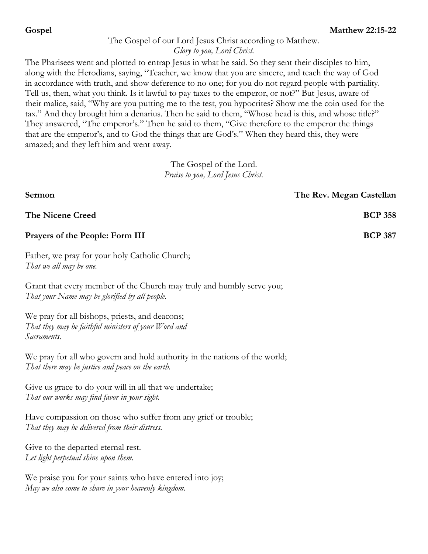### The Gospel of our Lord Jesus Christ according to Matthew. *Glory to you, Lord Christ.*

The Pharisees went and plotted to entrap Jesus in what he said. So they sent their disciples to him, along with the Herodians, saying, "Teacher, we know that you are sincere, and teach the way of God in accordance with truth, and show deference to no one; for you do not regard people with partiality. Tell us, then, what you think. Is it lawful to pay taxes to the emperor, or not?" But Jesus, aware of their malice, said, "Why are you putting me to the test, you hypocrites? Show me the coin used for the tax." And they brought him a denarius. Then he said to them, "Whose head is this, and whose title?" They answered, "The emperor's." Then he said to them, "Give therefore to the emperor the things that are the emperor's, and to God the things that are God's." When they heard this, they were amazed; and they left him and went away.

> The Gospel of the Lord. *Praise to you, Lord Jesus Christ.*

**Sermon The Rev. Megan Castellan**

|                                                                                                                                 | The Rev. Megan Castellan |
|---------------------------------------------------------------------------------------------------------------------------------|--------------------------|
| <b>The Nicene Creed</b>                                                                                                         | <b>BCP 358</b>           |
| Prayers of the People: Form III                                                                                                 | <b>BCP 387</b>           |
| Father, we pray for your holy Catholic Church;<br>That we all may be one.                                                       |                          |
| Grant that every member of the Church may truly and humbly serve you;<br>That your Name may be glorified by all people.         |                          |
| We pray for all bishops, priests, and deacons;<br>That they may be faithful ministers of your Word and<br>Sacraments.           |                          |
| We pray for all who govern and hold authority in the nations of the world;<br>That there may be justice and peace on the earth. |                          |
| Give us grace to do your will in all that we undertake;<br>That our works may find favor in your sight.                         |                          |
| Have compassion on those who suffer from any grief or trouble;<br>That they may be delivered from their distress.               |                          |

Give to the departed eternal rest. *Let light perpetual shine upon them.*

We praise you for your saints who have entered into joy; *May we also come to share in your heavenly kingdom.*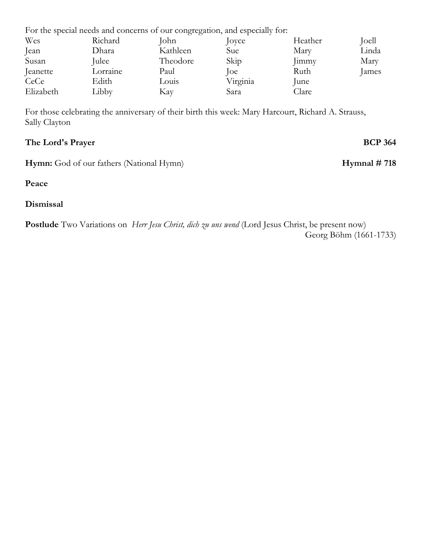|           |          | For the special needs and concerns of our congregation, and especially for: |           |         |       |
|-----------|----------|-----------------------------------------------------------------------------|-----------|---------|-------|
| Wes       | Richard  | John                                                                        | $\log$ ce | Heather | Joell |
| Jean      | Dhara    | Kathleen                                                                    | Sue       | Mary    | Linda |
| Susan     | Julee    | Theodore                                                                    | Skip      | Jimmy   | Mary  |
| Jeanette  | Lorraine | Paul                                                                        | oe        | Ruth    | James |
| CeCe      | Edith    | Louis                                                                       | Virginia  | June    |       |
| Elizabeth | Libby    | Kay                                                                         | Sara      | Clare   |       |

For those celebrating the anniversary of their birth this week: Mary Harcourt, Richard A. Strauss, Sally Clayton

| The Lord's Prayer | <b>BCP 364</b> |
|-------------------|----------------|
|                   |                |

Hymn: God of our fathers (National Hymn) **Hymnal # 718** 

**Peace**

**Dismissal** 

**Postlude** Two Variations on *Herr Jesu Christ, dich zu uns wend* (Lord Jesus Christ, be present now) Georg Böhm (1661-1733)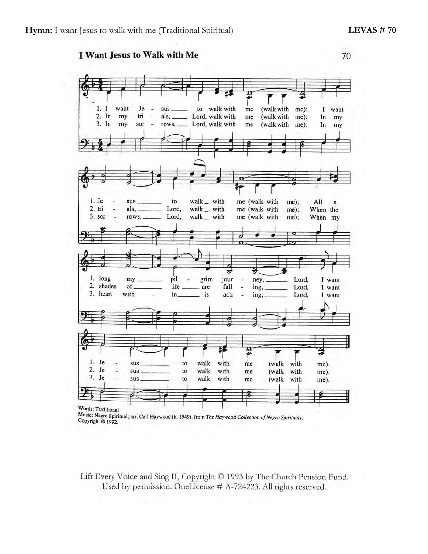I Want Jesus to Walk with Me

70



Music: Negro Spiritual; arr. Carl Haywood (b. 1949), from The Haywood Collection of Negro Spirituals, Copyright © 1992.

Lift Every Voice and Sing II, Copyright © 1993 by The Church Pension Fund. Used by permission. OneLicense # A-724223. All rights reserved.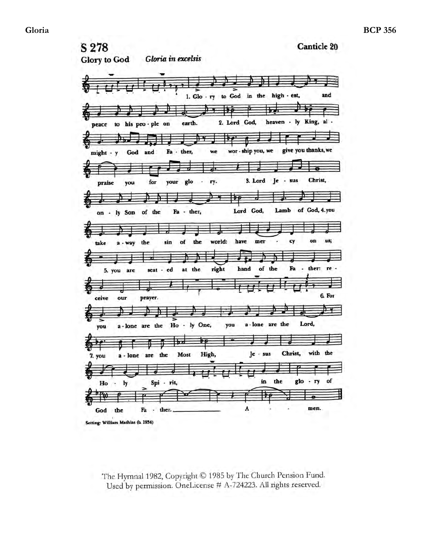

The Hymnal 1982, Copyright © 1985 by The Church Pension Fund. Used by permission. OneLicense # A-724223. All rights reserved.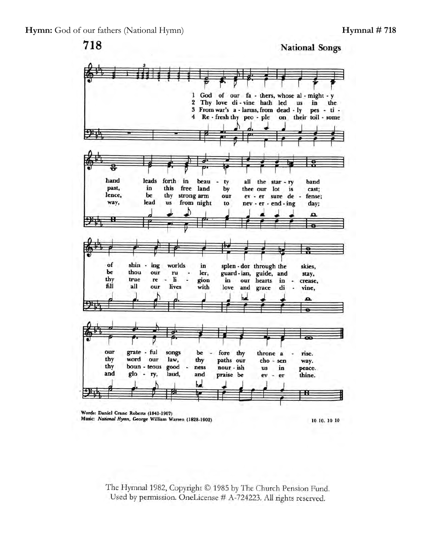

**National Songs** 



Words: Daniel Crane Roberts (1841-1907) Music: National Hymn, George William Warren (1828-1902)

10 10, 10 10

The Hymnal 1982, Copyright © 1985 by The Church Pension Fund. Used by permission. OneLicense # A-724223. All rights reserved.